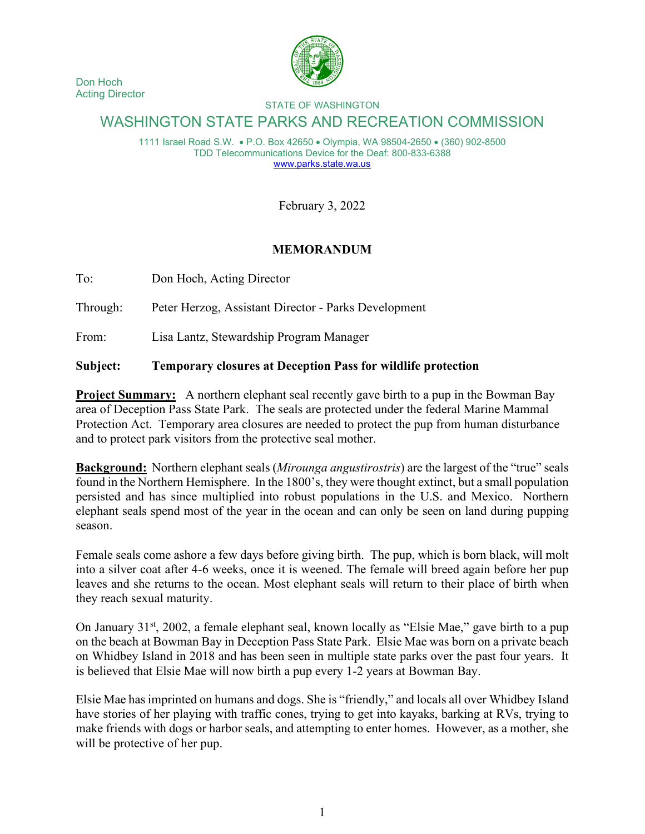



## STATE OF WASHINGTON

## WASHINGTON STATE PARKS AND RECREATION COMMISSION

1111 Israel Road S.W. • P.O. Box 42650 • Olympia, WA 98504-2650 • (360) 902-8500 TDD Telecommunications Device for the Deaf: 800-833-6388 [www.parks.state.wa.us](http://www.parks.state.wa.us/)

February 3, 2022

## **MEMORANDUM**

To: Don Hoch, Acting Director

Through: Peter Herzog, Assistant Director - Parks Development

From: Lisa Lantz, Stewardship Program Manager

## **Subject: Temporary closures at Deception Pass for wildlife protection**

**Project Summary:** A northern elephant seal recently gave birth to a pup in the Bowman Bay area of Deception Pass State Park. The seals are protected under the federal Marine Mammal Protection Act. Temporary area closures are needed to protect the pup from human disturbance and to protect park visitors from the protective seal mother.

**Background:** Northern elephant seals (*Mirounga angustirostris*) are the largest of the "true" seals found in the Northern Hemisphere. In the 1800's, they were thought extinct, but a small population persisted and has since multiplied into robust populations in the U.S. and Mexico. Northern elephant seals spend most of the year in the ocean and can only be seen on land during pupping season.

Female seals come ashore a few days before giving birth. The pup, which is born black, will molt into a silver coat after 4-6 weeks, once it is weened. The female will breed again before her pup leaves and she returns to the ocean. Most elephant seals will return to their place of birth when they reach sexual maturity.

On January 31<sup>st</sup>, 2002, a female elephant seal, known locally as "Elsie Mae," gave birth to a pup on the beach at Bowman Bay in Deception Pass State Park. Elsie Mae was born on a private beach on Whidbey Island in 2018 and has been seen in multiple state parks over the past four years. It is believed that Elsie Mae will now birth a pup every 1-2 years at Bowman Bay.

Elsie Mae has imprinted on humans and dogs. She is "friendly," and locals all over Whidbey Island have stories of her playing with traffic cones, trying to get into kayaks, barking at RVs, trying to make friends with dogs or harbor seals, and attempting to enter homes. However, as a mother, she will be protective of her pup.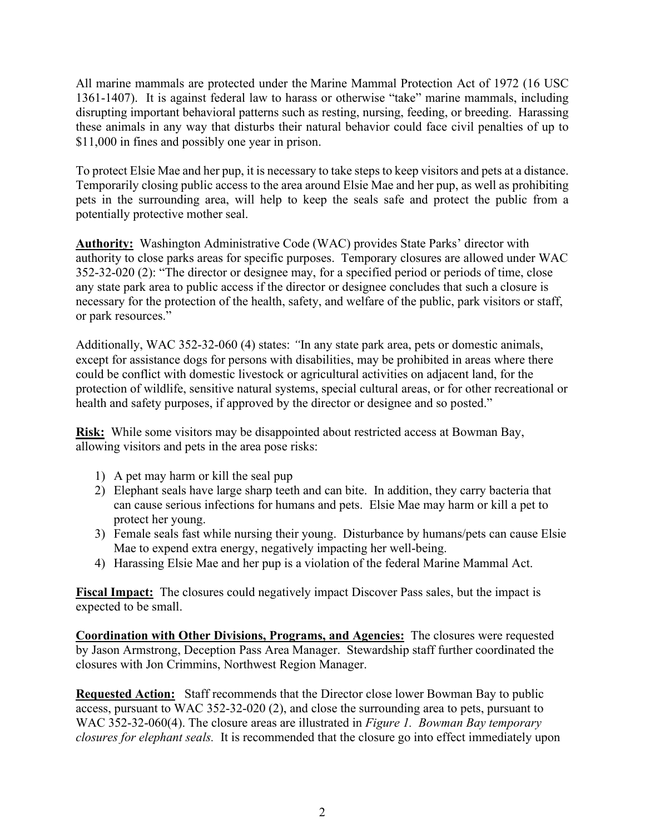All marine mammals are protected under the Marine Mammal Protection Act of 1972 (16 USC 1361-1407). It is against federal law to harass or otherwise "take" marine mammals, including disrupting important behavioral patterns such as resting, nursing, feeding, or breeding. Harassing these animals in any way that disturbs their natural behavior could face civil penalties of up to \$11,000 in fines and possibly one year in prison.

To protect Elsie Mae and her pup, it is necessary to take steps to keep visitors and pets at a distance. Temporarily closing public access to the area around Elsie Mae and her pup, as well as prohibiting pets in the surrounding area, will help to keep the seals safe and protect the public from a potentially protective mother seal.

**Authority:** Washington Administrative Code (WAC) provides State Parks' director with authority to close parks areas for specific purposes. Temporary closures are allowed under WAC 352-32-020 (2): "The director or designee may, for a specified period or periods of time, close any state park area to public access if the director or designee concludes that such a closure is necessary for the protection of the health, safety, and welfare of the public, park visitors or staff, or park resources."

Additionally, WAC 352-32-060 (4) states: *"*In any state park area, pets or domestic animals, except for assistance dogs for persons with disabilities, may be prohibited in areas where there could be conflict with domestic livestock or agricultural activities on adjacent land, for the protection of wildlife, sensitive natural systems, special cultural areas, or for other recreational or health and safety purposes, if approved by the director or designee and so posted."

**Risk:** While some visitors may be disappointed about restricted access at Bowman Bay, allowing visitors and pets in the area pose risks:

- 1) A pet may harm or kill the seal pup
- 2) Elephant seals have large sharp teeth and can bite. In addition, they carry bacteria that can cause serious infections for humans and pets. Elsie Mae may harm or kill a pet to protect her young.
- 3) Female seals fast while nursing their young. Disturbance by humans/pets can cause Elsie Mae to expend extra energy, negatively impacting her well-being.
- 4) Harassing Elsie Mae and her pup is a violation of the federal Marine Mammal Act.

**Fiscal Impact:** The closures could negatively impact Discover Pass sales, but the impact is expected to be small.

**Coordination with Other Divisions, Programs, and Agencies:** The closures were requested by Jason Armstrong, Deception Pass Area Manager. Stewardship staff further coordinated the closures with Jon Crimmins, Northwest Region Manager.

**Requested Action:** Staff recommends that the Director close lower Bowman Bay to public access, pursuant to WAC 352-32-020 (2), and close the surrounding area to pets, pursuant to WAC 352-32-060(4). The closure areas are illustrated in *Figure 1. Bowman Bay temporary closures for elephant seals.* It is recommended that the closure go into effect immediately upon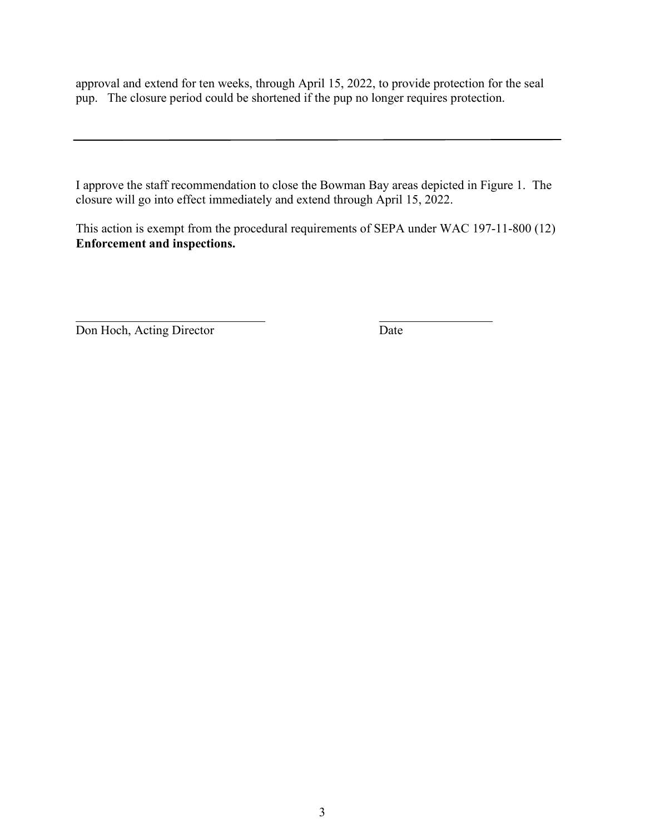approval and extend for ten weeks, through April 15, 2022, to provide protection for the seal pup. The closure period could be shortened if the pup no longer requires protection.

I approve the staff recommendation to close the Bowman Bay areas depicted in Figure 1. The closure will go into effect immediately and extend through April 15, 2022.

This action is exempt from the procedural requirements of SEPA under WAC 197-11-800 (12) **Enforcement and inspections.**

Don Hoch, Acting Director Date